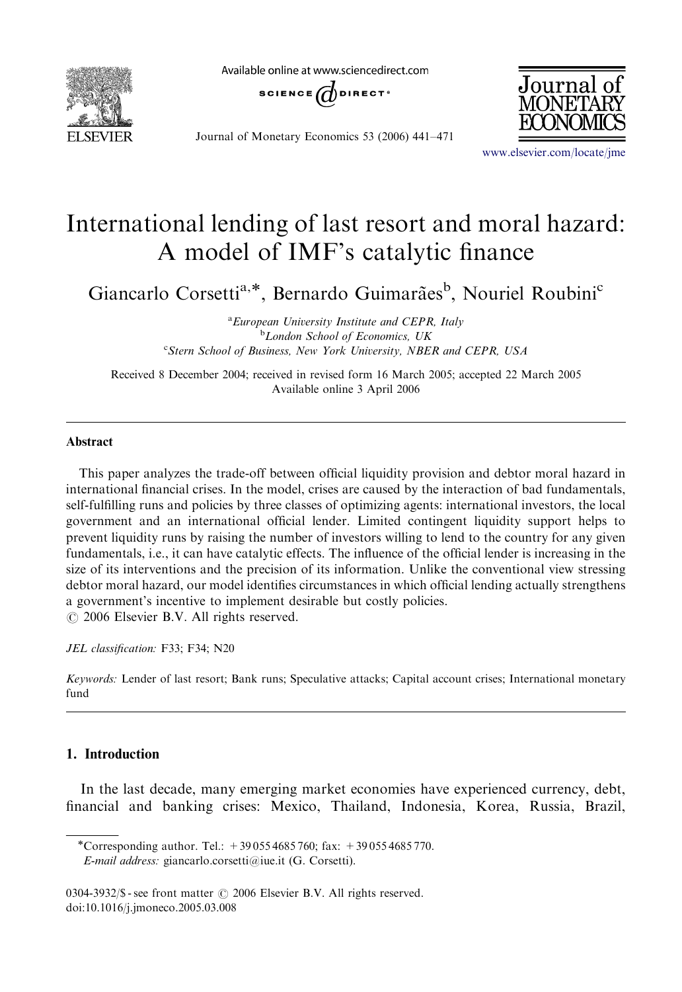

Available online at www.sciencedirect.com



Journal of Monetary Economics 53 (2006) 441–471



<www.elsevier.com/locate/jme>

## International lending of last resort and moral hazard: A model of IMF's catalytic finance

Giancarlo Corsetti<sup>a,\*</sup>, Bernardo Guimarães<sup>b</sup>, Nouriel Roubini<sup>c</sup>

<sup>a</sup> European University Institute and CEPR, Italy <sup>b</sup>London School of Economics, UK <sup>c</sup>Stern School of Business, New York University, NBER and CEPR, USA

Received 8 December 2004; received in revised form 16 March 2005; accepted 22 March 2005 Available online 3 April 2006

## Abstract

This paper analyzes the trade-off between official liquidity provision and debtor moral hazard in international financial crises. In the model, crises are caused by the interaction of bad fundamentals, self-fulfilling runs and policies by three classes of optimizing agents: international investors, the local government and an international official lender. Limited contingent liquidity support helps to prevent liquidity runs by raising the number of investors willing to lend to the country for any given fundamentals, i.e., it can have catalytic effects. The influence of the official lender is increasing in the size of its interventions and the precision of its information. Unlike the conventional view stressing debtor moral hazard, our model identifies circumstances in which official lending actually strengthens a government's incentive to implement desirable but costly policies.  $\odot$  2006 Elsevier B.V. All rights reserved.

JEL classification: F33; F34; N20

Keywords: Lender of last resort; Bank runs; Speculative attacks; Capital account crises; International monetary fund

## 1. Introduction

In the last decade, many emerging market economies have experienced currency, debt, financial and banking crises: Mexico, Thailand, Indonesia, Korea, Russia, Brazil,

<sup>\*</sup>Corresponding author. Tel.:  $+390554685760$ ; fax:  $+390554685770$ . E-mail address: giancarlo.corsetti@iue.it (G. Corsetti).

<sup>0304-3932/\$ -</sup> see front matter  $\odot$  2006 Elsevier B.V. All rights reserved. doi:10.1016/j.jmoneco.2005.03.008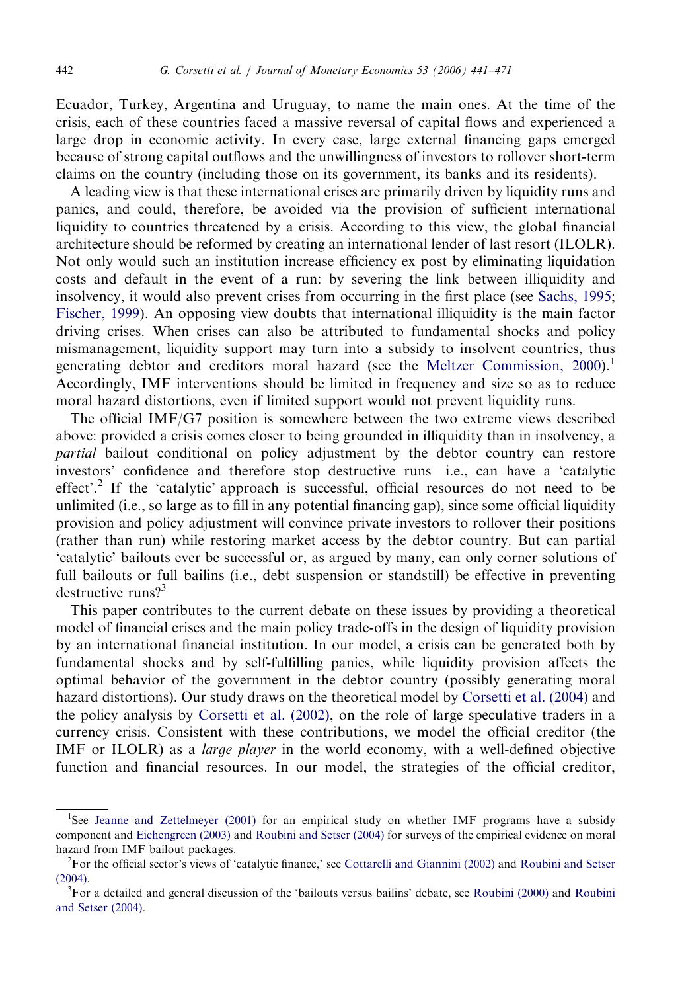Ecuador, Turkey, Argentina and Uruguay, to name the main ones. At the time of the crisis, each of these countries faced a massive reversal of capital flows and experienced a large drop in economic activity. In every case, large external financing gaps emerged because of strong capital outflows and the unwillingness of investors to rollover short-term claims on the country (including those on its government, its banks and its residents).

A leading view is that these international crises are primarily driven by liquidity runs and panics, and could, therefore, be avoided via the provision of sufficient international liquidity to countries threatened by a crisis. According to this view, the global financial architecture should be reformed by creating an international lender of last resort (ILOLR). Not only would such an institution increase efficiency ex post by eliminating liquidation costs and default in the event of a run: by severing the link between illiquidity and insolvency, it would also prevent crises from occurring in the first place (see [Sachs, 1995;](#page--1-0) [Fischer, 1999\)](#page--1-0). An opposing view doubts that international illiquidity is the main factor driving crises. When crises can also be attributed to fundamental shocks and policy mismanagement, liquidity support may turn into a subsidy to insolvent countries, thus generating debtor and creditors moral hazard (see the Meltzer Commission,  $2000$ ).<sup>1</sup> Accordingly, IMF interventions should be limited in frequency and size so as to reduce moral hazard distortions, even if limited support would not prevent liquidity runs.

The official IMF/G7 position is somewhere between the two extreme views described above: provided a crisis comes closer to being grounded in illiquidity than in insolvency, a partial bailout conditional on policy adjustment by the debtor country can restore investors' confidence and therefore stop destructive runs—i.e., can have a 'catalytic effect'.2 If the 'catalytic' approach is successful, official resources do not need to be unlimited (i.e., so large as to fill in any potential financing gap), since some official liquidity provision and policy adjustment will convince private investors to rollover their positions (rather than run) while restoring market access by the debtor country. But can partial 'catalytic' bailouts ever be successful or, as argued by many, can only corner solutions of full bailouts or full bailins (i.e., debt suspension or standstill) be effective in preventing destructive runs?<sup>3</sup>

This paper contributes to the current debate on these issues by providing a theoretical model of financial crises and the main policy trade-offs in the design of liquidity provision by an international financial institution. In our model, a crisis can be generated both by fundamental shocks and by self-fulfilling panics, while liquidity provision affects the optimal behavior of the government in the debtor country (possibly generating moral hazard distortions). Our study draws on the theoretical model by [Corsetti et al. \(2004\)](#page--1-0) and the policy analysis by [Corsetti et al. \(2002\)](#page--1-0), on the role of large speculative traders in a currency crisis. Consistent with these contributions, we model the official creditor (the IMF or ILOLR) as a *large player* in the world economy, with a well-defined objective function and financial resources. In our model, the strategies of the official creditor,

<sup>&</sup>lt;sup>1</sup>See [Jeanne and Zettelmeyer \(2001\)](#page--1-0) for an empirical study on whether IMF programs have a subsidy component and [Eichengreen \(2003\)](#page--1-0) and [Roubini and Setser \(2004\)](#page--1-0) for surveys of the empirical evidence on moral hazard from IMF bailout packages.

<sup>2</sup> For the official sector's views of 'catalytic finance,' see [Cottarelli and Giannini \(2002\)](#page--1-0) and [Roubini and Setser](#page--1-0)  $(2004)$ .

<sup>&</sup>lt;sup>3</sup>For a detailed and general discussion of the 'bailouts versus bailins' debate, see [Roubini \(2000\)](#page--1-0) and [Roubini](#page--1-0) [and Setser \(2004\).](#page--1-0)